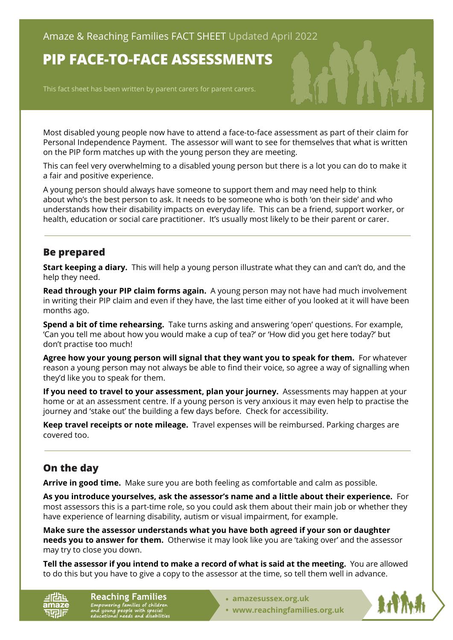# **PIP FACE-TO-FACE ASSESSMENTS**

This fact sheet has been written by parent carers for parent carers.

Most disabled young people now have to attend a face-to-face assessment as part of their claim for Personal Independence Payment. The assessor will want to see for themselves that what is written on the PIP form matches up with the young person they are meeting.

This can feel very overwhelming to a disabled young person but there is a lot you can do to make it a fair and positive experience.

A young person should always have someone to support them and may need help to think about who's the best person to ask. It needs to be someone who is both 'on their side' and who understands how their disability impacts on everyday life. This can be a friend, support worker, or health, education or social care practitioner. It's usually most likely to be their parent or carer.

#### **Be prepared**

**Start keeping a diary.** This will help a young person illustrate what they can and can't do, and the help they need.

**Read through your PIP claim forms again.** A young person may not have had much involvement in writing their PIP claim and even if they have, the last time either of you looked at it will have been months ago.

**Spend a bit of time rehearsing.** Take turns asking and answering 'open' questions. For example, 'Can you tell me about how you would make a cup of tea?' or 'How did you get here today?' but don't practise too much!

**Agree how your young person will signal that they want you to speak for them.** For whatever reason a young person may not always be able to find their voice, so agree a way of signalling when they'd like you to speak for them.

**If you need to travel to your assessment, plan your journey.** Assessments may happen at your home or at an assessment centre. If a young person is very anxious it may even help to practise the journey and 'stake out' the building a few days before. Check for accessibility.

**Keep travel receipts or note mileage.** Travel expenses will be reimbursed. Parking charges are covered too.

# **On the day**

**Arrive in good time.** Make sure you are both feeling as comfortable and calm as possible.

**As you introduce yourselves, ask the assessor's name and a little about their experience.** For most assessors this is a part-time role, so you could ask them about their main job or whether they have experience of learning disability, autism or visual impairment, for example.

**Make sure the assessor understands what you have both agreed if your son or daughter needs you to answer for them.** Otherwise it may look like you are 'taking over' and the assessor may try to close you down.

**Tell the assessor if you intend to make a record of what is said at the meeting.** You are allowed to do this but you have to give a copy to the assessor at the time, so tell them well in advance.

6Ŀ

**Reaching Families** Empowering families of children<br>and young people with special<br>educational needs and disabilities

- **• [amazesussex.org.uk](https://amazesussex.org.uk)**
- **[www.reachingfamilies.org.uk](https://www.reachingfamilies.org.uk)**

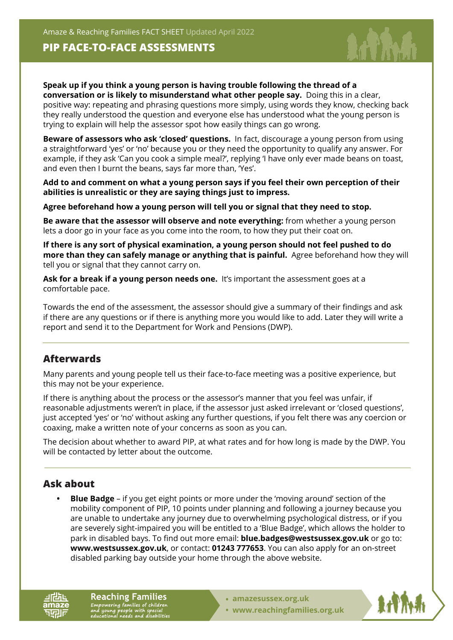Amaze & Reaching Families FACT SHEET Updated April 2022

### **PIP FACE-TO-FACE ASSESSMENTS**



**Speak up if you think a young person is having trouble following the thread of a conversation or is likely to misunderstand what other people say.** Doing this in a clear, positive way: repeating and phrasing questions more simply, using words they know, checking back they really understood the question and everyone else has understood what the young person is trying to explain will help the assessor spot how easily things can go wrong.

**Beware of assessors who ask 'closed' questions.** In fact, discourage a young person from using a straightforward 'yes' or 'no' because you or they need the opportunity to qualify any answer. For example, if they ask 'Can you cook a simple meal?', replying 'I have only ever made beans on toast, and even then I burnt the beans, says far more than, 'Yes'.

**Add to and comment on what a young person says if you feel their own perception of their abilities is unrealistic or they are saying things just to impress.**

**Agree beforehand how a young person will tell you or signal that they need to stop.**

**Be aware that the assessor will observe and note everything:** from whether a young person lets a door go in your face as you come into the room, to how they put their coat on.

**If there is any sort of physical examination, a young person should not feel pushed to do more than they can safely manage or anything that is painful.** Agree beforehand how they will tell you or signal that they cannot carry on.

**Ask for a break if a young person needs one.** It's important the assessment goes at a comfortable pace.

Towards the end of the assessment, the assessor should give a summary of their findings and ask if there are any questions or if there is anything more you would like to add. Later they will write a report and send it to the Department for Work and Pensions (DWP).

## **Afterwards**

Many parents and young people tell us their face-to-face meeting was a positive experience, but this may not be your experience.

If there is anything about the process or the assessor's manner that you feel was unfair, if reasonable adjustments weren't in place, if the assessor just asked irrelevant or 'closed questions', just accepted 'yes' or 'no' without asking any further questions, if you felt there was any coercion or coaxing, make a written note of your concerns as soon as you can.

The decision about whether to award PIP, at what rates and for how long is made by the DWP. You will be contacted by letter about the outcome.

# **Ask about**

**• Blue Badge** – if you get eight points or more under the 'moving around' section of the mobility component of PIP, 10 points under planning and following a journey because you are unable to undertake any journey due to overwhelming psychological distress, or if you are severely sight-impaired you will be entitled to a 'Blue Badge', which allows the holder to park in disabled bays. To find out more email: **blue.badges@westsussex.gov.uk** or go to: **[www.westsussex.gov.uk](https://www.westsussex.gov.uk)**, or contact: **01243 777653**. You can also apply for an on-street disabled parking bay outside your home through the above website.

**Reaching Families** Empowering families of children<br>and young people with special<br>educational needs and disabilities

- **• [amazesussex.org.uk](https://amazesussex.org.uk)**
- **[www.reachingfamilies.org.uk](https://www.reachingfamilies.org.uk)**